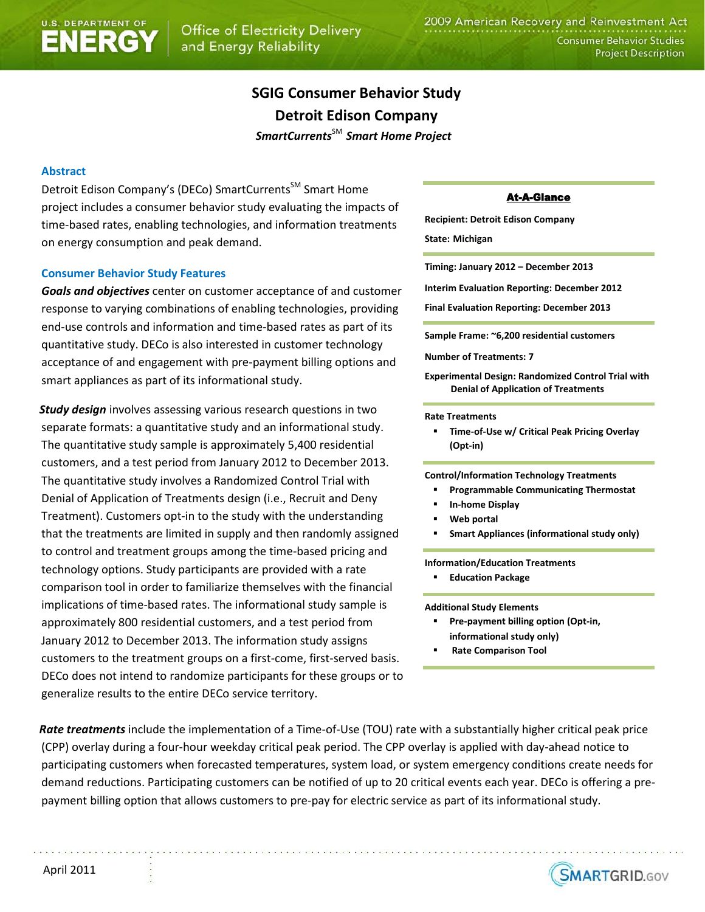# **SGIG Consumer Behavior Study Detroit\$Edison Company**

 $SmartCurrentS<sup>SM</sup>$  *Smart Home Project* 

## **Abstract**

Detroit Edison Company's (DECo) SmartCurrents<sup>SM</sup> Smart Home project includes a consumer behavior study evaluating the impacts of time-based rates, enabling technologies, and information treatments on energy consumption and peak demand.

## **Consumer Behavior Study Features**

**Goals and objectives** center on customer acceptance of and customer response to varying combinations of enabling technologies, providing end-use controls and information and time-based rates as part of its quantitative study. DECo is also interested in customer technology acceptance of and engagement with pre-payment billing options and smart appliances as part of its informational study.

**Study design** involves assessing various research questions in two separate formats: a quantitative study and an informational study. The quantitative study sample is approximately 5,400 residential customers, and a test period from January 2012 to December 2013. The quantitative study involves a Randomized Control Trial with Denial of Application of Treatments design (i.e., Recruit and Deny Treatment). Customers opt-in to the study with the understanding that the treatments are limited in supply and then randomly assigned to control and treatment groups among the time-based pricing and technology options. Study participants are provided with a rate comparison tool in order to familiarize themselves with the financial implications of time-based rates. The informational study sample is approximately 800 residential customers, and a test period from January 2012 to December 2013. The information study assigns customers to the treatment groups on a first-come, first-served basis. DECo does not intend to randomize participants for these groups or to generalize results to the entire DECo service territory.

### **At-A-Glance**

**Recipient: Detroit Edison Company** 

**State: Michigan**

Timing: January 2012 – December 2013

**Interim Evaluation Reporting: December 2012** 

**Final Evaluation Reporting: December 2013** 

Sample Frame: ~6,200 residential customers

**Number of Treatments: 7** 

**Experimental Design: Randomized Control Trial with Denial of Application of Treatments** 

#### **Rate\$Treatments**

**Time-of-Use w/ Critical Peak Pricing Overlay** (Opt-in)

**Control/Information\$Technology\$Treatments\$**

- **Programmable\$Communicating\$Thermostat**
- **In-home Display**
- **Web** portal
- **Smart Appliances (informational study only)**

**Information/Education\$Treatments**

**Education Package** 

**Additional Study Elements** 

- **Pre-payment billing option (Opt-in,** informational study only)
- **Rate Comparison Tool**

**Rate treatments** include the implementation of a Time-of-Use (TOU) rate with a substantially higher critical peak price (CPP) overlay during a four-hour weekday critical peak period. The CPP overlay is applied with day-ahead notice to participating customers when forecasted temperatures, system load, or system emergency conditions create needs for demand reductions. Participating customers can be notified of up to 20 critical events each year. DECo is offering a prepayment billing option that allows customers to pre-pay for electric service as part of its informational study.